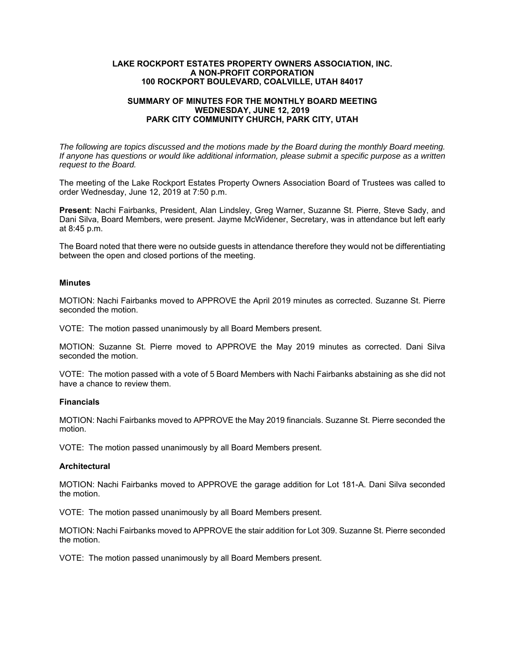## **LAKE ROCKPORT ESTATES PROPERTY OWNERS ASSOCIATION, INC. A NON-PROFIT CORPORATION 100 ROCKPORT BOULEVARD, COALVILLE, UTAH 84017**

# **SUMMARY OF MINUTES FOR THE MONTHLY BOARD MEETING WEDNESDAY, JUNE 12, 2019 PARK CITY COMMUNITY CHURCH, PARK CITY, UTAH**

*The following are topics discussed and the motions made by the Board during the monthly Board meeting. If anyone has questions or would like additional information, please submit a specific purpose as a written request to the Board.* 

The meeting of the Lake Rockport Estates Property Owners Association Board of Trustees was called to order Wednesday, June 12, 2019 at 7:50 p.m.

**Present**: Nachi Fairbanks, President, Alan Lindsley, Greg Warner, Suzanne St. Pierre, Steve Sady, and Dani Silva, Board Members, were present. Jayme McWidener, Secretary, was in attendance but left early at 8:45 p.m.

The Board noted that there were no outside guests in attendance therefore they would not be differentiating between the open and closed portions of the meeting.

## **Minutes**

MOTION: Nachi Fairbanks moved to APPROVE the April 2019 minutes as corrected. Suzanne St. Pierre seconded the motion.

VOTE: The motion passed unanimously by all Board Members present.

MOTION: Suzanne St. Pierre moved to APPROVE the May 2019 minutes as corrected. Dani Silva seconded the motion.

VOTE: The motion passed with a vote of 5 Board Members with Nachi Fairbanks abstaining as she did not have a chance to review them.

#### **Financials**

MOTION: Nachi Fairbanks moved to APPROVE the May 2019 financials. Suzanne St. Pierre seconded the motion.

VOTE: The motion passed unanimously by all Board Members present.

#### **Architectural**

MOTION: Nachi Fairbanks moved to APPROVE the garage addition for Lot 181-A. Dani Silva seconded the motion.

VOTE: The motion passed unanimously by all Board Members present.

MOTION: Nachi Fairbanks moved to APPROVE the stair addition for Lot 309. Suzanne St. Pierre seconded the motion.

VOTE: The motion passed unanimously by all Board Members present.